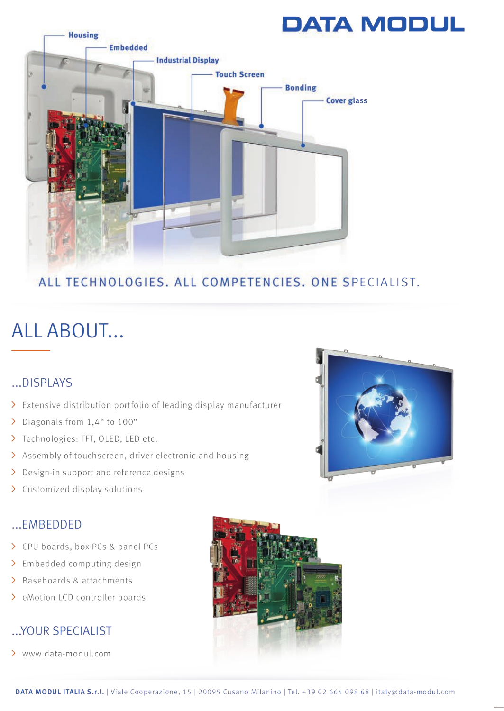# **DATA MODUL**



## ALL TECHNOLOGIES, ALL COMPETENCIES, ONE SPECIALIST.

# ALL ABOUT...

## ...DISPLAYS

- > Extensive distribution portfolio of leading display manufacturer
- > Diagonals from 1,4" to 100"
- > Technologies: TFT, OLED, LED etc.
- > Assembly of touchscreen, driver electronic and housing
- > Design-in support and reference designs
- > Customized display solutions

### $...$ FMBEDDED

- > CPU boards, box PCs & panel PCs
- > Embedded computing design
- > Baseboards & attachments
- > eMotion LCD controller boards

#### ... YOUR SPECIALIST

> www.data-modul.com



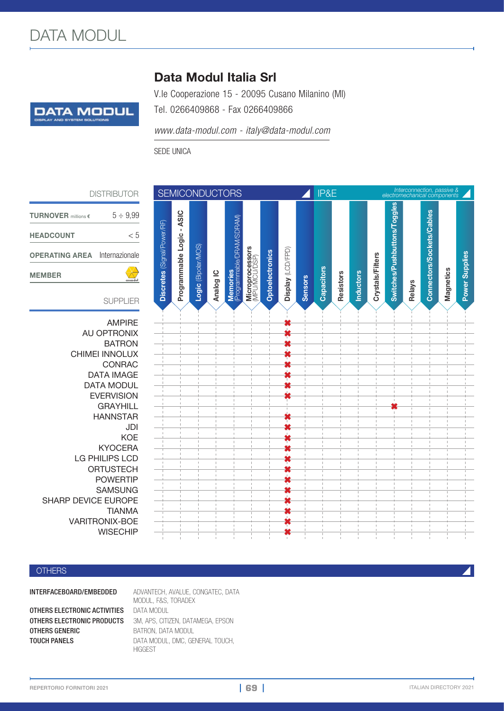

## Data Modul Italia Srl

V.le Cooperazione 15 - 20095 Cusano Milanino (MI)

Tel. 0266409868 - Fax 0266409866

*www.data-modul.com - italy@data-modul.com*

SEDE UNICA

DISTRIBUTOR

| <b>TURNOVER</b> millions $\epsilon$  | $5 \div 9.99$ |
|--------------------------------------|---------------|
| <b>HEADCOUNT</b>                     | - 5           |
| <b>OPERATING AREA</b> Internazionale |               |
| <b>MEMBER</b>                        |               |
|                                      |               |

#### SUPPLIER

AMPIRE **✖ AU OPTRONIX BATRON** CHIMEI INNOLUX **✖** CONRAC **✖** DATA **IMAGE** DATA MODUL **EVERVISION GRAYHILL** HANNSTAR **✖** KYOCERA **✖** LG PHILIPS LCD ORTUSTECH **✖ POWERTIP** SAMSUNG **✖ SHARP DEVICE EUROPE** TIANMA **✖** VARITRONIX-BOE **✖ WISECHIP** 

| <b>JTOR</b>                                             | <b>SEMICONDUCTORS</b>       |                           |                     |           |                                       |                                  |                 |                   | IP&E           |            |           |                  | Interconnection, passive &<br>electromechanical components |                              |        |                           |           |                       |
|---------------------------------------------------------|-----------------------------|---------------------------|---------------------|-----------|---------------------------------------|----------------------------------|-----------------|-------------------|----------------|------------|-----------|------------------|------------------------------------------------------------|------------------------------|--------|---------------------------|-----------|-----------------------|
| $-9,99$<br>< 5<br>zionale<br>$\chi$<br>assodel<br>PLIER | Discretes (Signal/Power/RF) | Programmable Logic - ASIC | Logic (Bipolar/MOS) | Analog IC | Memories<br>(Programmable/DRAM/SDRAM) | Microprocessors<br>(MPU/MCU/DSP) | Optoelectronics | Display (LCD/FPD) | <b>Sensors</b> | Capacitors | Resistors | <b>Inductors</b> | Crystals/Filters                                           | Switches/Pushbuttons/Toggles | Relays | Connectors/Sockets/Cables | Magnetics | <b>Power Supplies</b> |
| PIRE                                                    |                             |                           |                     |           |                                       |                                  |                 |                   |                |            |           |                  |                                                            |                              |        |                           |           |                       |
| ONIX<br>RON                                             |                             |                           |                     |           |                                       |                                  |                 |                   |                |            |           |                  |                                                            |                              |        |                           |           |                       |
|                                                         |                             |                           |                     |           |                                       |                                  |                 |                   |                |            |           |                  |                                                            |                              |        |                           |           |                       |
|                                                         |                             |                           |                     |           |                                       |                                  |                 |                   |                |            |           |                  |                                                            |                              |        |                           |           |                       |
|                                                         |                             |                           |                     |           |                                       |                                  |                 |                   |                |            |           |                  |                                                            |                              |        |                           |           |                       |
|                                                         |                             |                           |                     |           |                                       |                                  |                 |                   |                |            |           |                  |                                                            |                              |        |                           |           |                       |
|                                                         |                             |                           |                     |           |                                       |                                  |                 |                   |                |            |           |                  |                                                            |                              |        |                           |           |                       |
|                                                         |                             |                           |                     |           |                                       |                                  |                 |                   |                |            |           |                  |                                                            | ×                            |        |                           |           |                       |
|                                                         |                             |                           |                     |           |                                       |                                  |                 |                   |                |            |           |                  |                                                            |                              |        |                           |           |                       |
|                                                         |                             |                           |                     |           |                                       |                                  |                 |                   |                |            |           |                  |                                                            |                              |        |                           |           |                       |
|                                                         |                             |                           |                     |           |                                       |                                  |                 |                   |                |            |           |                  |                                                            |                              |        |                           |           |                       |
|                                                         |                             |                           |                     |           |                                       |                                  |                 |                   |                |            |           |                  |                                                            |                              |        |                           |           |                       |
|                                                         |                             |                           |                     |           |                                       |                                  |                 |                   |                |            |           |                  |                                                            |                              |        |                           |           |                       |
|                                                         |                             |                           |                     |           |                                       |                                  |                 |                   |                |            |           |                  |                                                            |                              |        |                           |           |                       |
|                                                         |                             |                           |                     |           |                                       |                                  |                 |                   |                |            |           |                  |                                                            |                              |        |                           |           |                       |
|                                                         |                             |                           |                     |           |                                       |                                  |                 |                   |                |            |           |                  |                                                            |                              |        |                           |           |                       |
|                                                         |                             |                           |                     |           |                                       |                                  |                 |                   |                |            |           |                  |                                                            |                              |        |                           |           |                       |
|                                                         |                             |                           |                     |           |                                       |                                  |                 |                   |                |            |           |                  |                                                            |                              |        |                           |           |                       |

#### **OTHERS**

**OTHERS ELECTRONIC ACTIVITIES DATA MODUL OTHERS GENERIC** BATRON, DATA MODUL

INTERFACEBOARD/EMBEDDED ADVANTECH, AVALUE, CONGATEC, DATA MODUL, F&S, TORADEX OTHERS ELECTRONIC PRODUCTS 3M, APS, CITIZEN, DATAMEGA, EPSON TOUCH PANELS DATA MODUL, DMC, GENERAL TOUCH, **HIGGEST** 

**| 69 |**